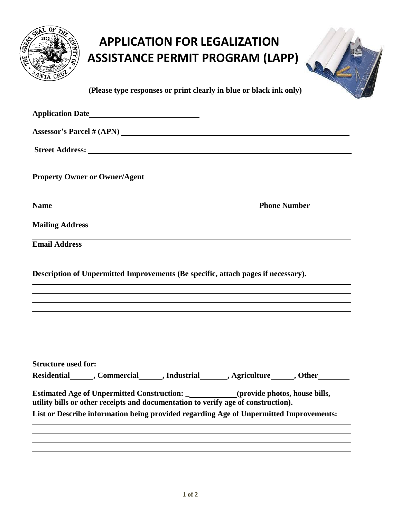|            | OF THE<br>ويم<br>٠               |  |
|------------|----------------------------------|--|
| <b>REA</b> |                                  |  |
|            |                                  |  |
|            | AEJUDIO                          |  |
|            | CRUL<br>$\mathcal{S}_{4N_{T_1}}$ |  |

## **APPLICATION FOR LEGALIZATION ASSISTANCE PERMIT PROGRAM (LAPP)**



**(Please type responses or print clearly in blue or black ink only)**

| Application Date <u> and Theorem and Theorem and Theorem and Theorem and Theorem and Theorem and Theorem and Theorem and Theorem and Theorem and Theorem and Theorem and Theorem and Theorem and Theorem and Theorem and Theorem</u> |                                                                                                                                                                                                                                                                                                                                              |
|--------------------------------------------------------------------------------------------------------------------------------------------------------------------------------------------------------------------------------------|----------------------------------------------------------------------------------------------------------------------------------------------------------------------------------------------------------------------------------------------------------------------------------------------------------------------------------------------|
| Assessor's Parcel # (APN)                                                                                                                                                                                                            |                                                                                                                                                                                                                                                                                                                                              |
|                                                                                                                                                                                                                                      |                                                                                                                                                                                                                                                                                                                                              |
| <b>Property Owner or Owner/Agent</b>                                                                                                                                                                                                 |                                                                                                                                                                                                                                                                                                                                              |
| and the control of the control of the control of the control of the control of the control of the control of the<br><b>Name</b>                                                                                                      | <b>Phone Number</b>                                                                                                                                                                                                                                                                                                                          |
| <b>Mailing Address</b>                                                                                                                                                                                                               |                                                                                                                                                                                                                                                                                                                                              |
| <b>Email Address</b>                                                                                                                                                                                                                 |                                                                                                                                                                                                                                                                                                                                              |
| Description of Unpermitted Improvements (Be specific, attach pages if necessary).                                                                                                                                                    | ,我们也不会有什么。""我们的人,我们也不会有什么?""我们的人,我们也不会有什么?""我们的人,我们也不会有什么?""我们的人,我们也不会有什么?""我们的人<br>,我们也不会有什么。""我们的人,我们也不会有什么?""我们的人,我们也不会有什么?""我们的人,我们也不会有什么?""我们的人,我们也不会有什么?""我们的人<br>,我们也不会有什么。""我们的人,我们也不会有什么?""我们的人,我们也不会有什么?""我们的人,我们也不会有什么?""我们的人,我们也不会有什么?""我们的人<br>,我们也不能在这里的时候,我们也不能在这里的时候,我们也不能不能不能不能不能不能不能不能不能不能不能不能不能不能。""我们,我们也不能不能不能不能不能不能不能不 |
| <b>Structure used for:</b>                                                                                                                                                                                                           | Residential ______, Commercial _______, Industrial _______, Agriculture ______, Other                                                                                                                                                                                                                                                        |
| utility bills or other receipts and documentation to verify age of construction).                                                                                                                                                    | Estimated Age of Unpermitted Construction: ___________(provide photos, house bills,<br>List or Describe information being provided regarding Age of Unpermitted Improvements:                                                                                                                                                                |
|                                                                                                                                                                                                                                      |                                                                                                                                                                                                                                                                                                                                              |
|                                                                                                                                                                                                                                      |                                                                                                                                                                                                                                                                                                                                              |